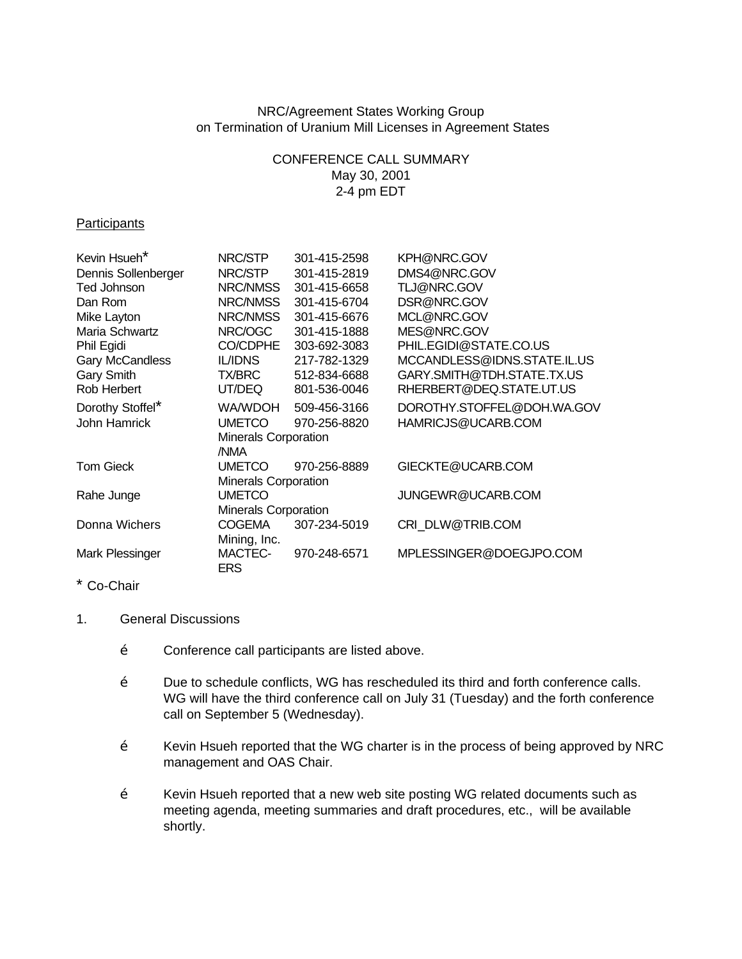### NRC/Agreement States Working Group on Termination of Uranium Mill Licenses in Agreement States

# CONFERENCE CALL SUMMARY May 30, 2001 2-4 pm EDT

#### **Participants**

| Kevin Hsueh <sup>*</sup> | NRC/STP                     | 301-415-2598 | KPH@NRC.GOV                 |
|--------------------------|-----------------------------|--------------|-----------------------------|
| Dennis Sollenberger      | NRC/STP                     | 301-415-2819 | DMS4@NRC.GOV                |
| Ted Johnson              | NRC/NMSS                    | 301-415-6658 | TLJ@NRC.GOV                 |
| Dan Rom                  | NRC/NMSS                    | 301-415-6704 | DSR@NRC.GOV                 |
| Mike Layton              | NRC/NMSS                    | 301-415-6676 | MCL@NRC.GOV                 |
| Maria Schwartz           | NRC/OGC                     | 301-415-1888 | MES@NRC.GOV                 |
| Phil Egidi               | CO/CDPHE                    | 303-692-3083 | PHIL.EGIDI@STATE.CO.US      |
| Gary McCandless          | <b>IL/IDNS</b>              | 217-782-1329 | MCCANDLESS@IDNS.STATE.IL.US |
| Gary Smith               | TX/BRC                      | 512-834-6688 | GARY.SMITH@TDH.STATE.TX.US  |
| Rob Herbert              | UT/DEQ                      | 801-536-0046 | RHERBERT@DEQ.STATE.UT.US    |
| Dorothy Stoffel*         | WA/WDOH                     | 509-456-3166 | DOROTHY.STOFFEL@DOH.WA.GOV  |
| John Hamrick             | <b>UMETCO</b>               | 970-256-8820 | HAMRICJS@UCARB.COM          |
|                          | Minerals Corporation        |              |                             |
|                          | /NMA                        |              |                             |
| <b>Tom Gieck</b>         | <b>UMETCO</b>               | 970-256-8889 | GIECKTE@UCARB.COM           |
|                          | <b>Minerals Corporation</b> |              |                             |
| Rahe Junge               | <b>UMETCO</b>               |              | JUNGEWR@UCARB.COM           |
|                          | <b>Minerals Corporation</b> |              |                             |
| Donna Wichers            | <b>COGEMA</b>               | 307-234-5019 | CRI_DLW@TRIB.COM            |
|                          | Mining, Inc.                |              |                             |
| Mark Plessinger          | MACTEC-                     | 970-248-6571 | MPLESSINGER@DOEGJPO.COM     |
|                          | <b>ERS</b>                  |              |                             |

# \* Co-Chair

#### 1. General Discussions

- Ž Conference call participants are listed above.
- Ž Due to schedule conflicts, WG has rescheduled its third and forth conference calls. WG will have the third conference call on July 31 (Tuesday) and the forth conference call on September 5 (Wednesday).
- Ž Kevin Hsueh reported that the WG charter is in the process of being approved by NRC management and OAS Chair.
- Ž Kevin Hsueh reported that a new web site posting WG related documents such as meeting agenda, meeting summaries and draft procedures, etc., will be available shortly.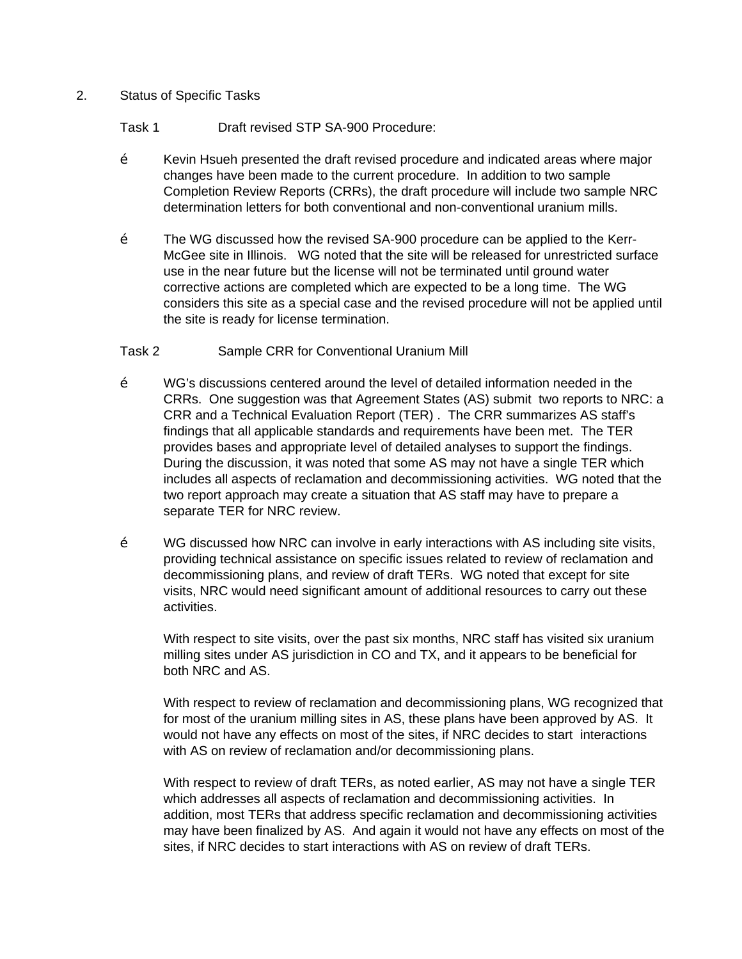#### 2. Status of Specific Tasks

Task 1 Draft revised STP SA-900 Procedure:

- $\check{Z}$  Kevin Hsueh presented the draft revised procedure and indicated areas where major changes have been made to the current procedure. In addition to two sample Completion Review Reports (CRRs), the draft procedure will include two sample NRC determination letters for both conventional and non-conventional uranium mills.
- Ž The WG discussed how the revised SA-900 procedure can be applied to the Kerr-McGee site in Illinois. WG noted that the site will be released for unrestricted surface use in the near future but the license will not be terminated until ground water corrective actions are completed which are expected to be a long time. The WG considers this site as a special case and the revised procedure will not be applied until the site is ready for license termination.

# Task 2 Sample CRR for Conventional Uranium Mill

- Ž WG's discussions centered around the level of detailed information needed in the CRRs. One suggestion was that Agreement States (AS) submit two reports to NRC: a CRR and a Technical Evaluation Report (TER) . The CRR summarizes AS staff's findings that all applicable standards and requirements have been met. The TER provides bases and appropriate level of detailed analyses to support the findings. During the discussion, it was noted that some AS may not have a single TER which includes all aspects of reclamation and decommissioning activities. WG noted that the two report approach may create a situation that AS staff may have to prepare a separate TER for NRC review.
- $\check{Z}$  WG discussed how NRC can involve in early interactions with AS including site visits, providing technical assistance on specific issues related to review of reclamation and decommissioning plans, and review of draft TERs. WG noted that except for site visits, NRC would need significant amount of additional resources to carry out these activities.

With respect to site visits, over the past six months, NRC staff has visited six uranium milling sites under AS jurisdiction in CO and TX, and it appears to be beneficial for both NRC and AS.

With respect to review of reclamation and decommissioning plans, WG recognized that for most of the uranium milling sites in AS, these plans have been approved by AS. It would not have any effects on most of the sites, if NRC decides to start interactions with AS on review of reclamation and/or decommissioning plans.

With respect to review of draft TERs, as noted earlier, AS may not have a single TER which addresses all aspects of reclamation and decommissioning activities. In addition, most TERs that address specific reclamation and decommissioning activities may have been finalized by AS. And again it would not have any effects on most of the sites, if NRC decides to start interactions with AS on review of draft TERs.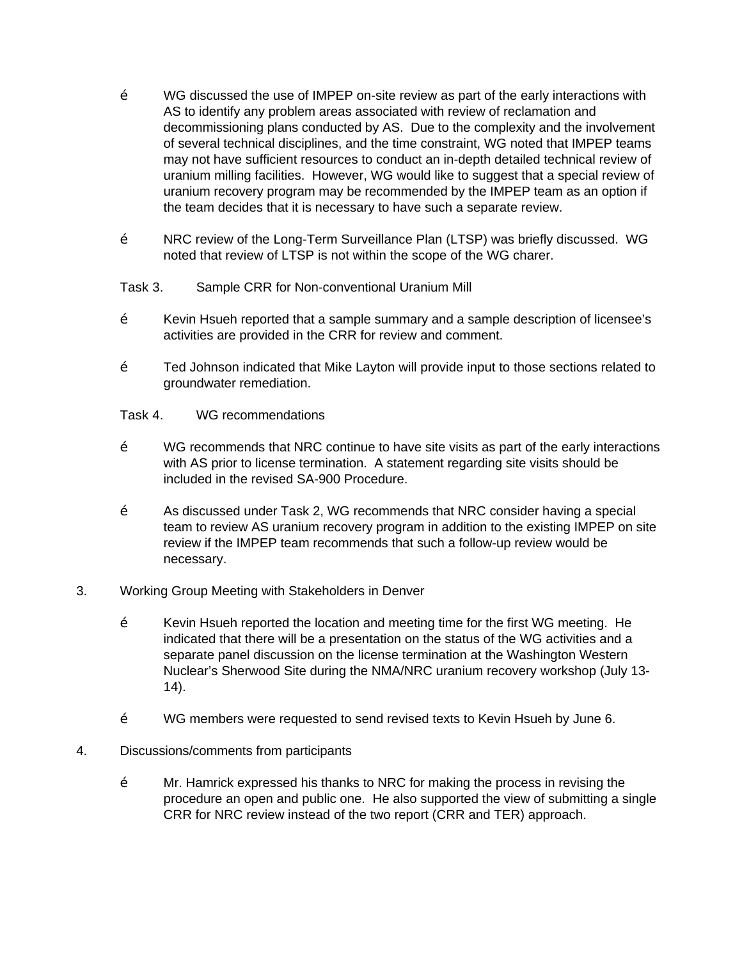- Ž WG discussed the use of IMPEP on-site review as part of the early interactions with AS to identify any problem areas associated with review of reclamation and decommissioning plans conducted by AS. Due to the complexity and the involvement of several technical disciplines, and the time constraint, WG noted that IMPEP teams may not have sufficient resources to conduct an in-depth detailed technical review of uranium milling facilities. However, WG would like to suggest that a special review of uranium recovery program may be recommended by the IMPEP team as an option if the team decides that it is necessary to have such a separate review.
- Ž NRC review of the Long-Term Surveillance Plan (LTSP) was briefly discussed. WG noted that review of LTSP is not within the scope of the WG charer.
- Task 3. Sample CRR for Non-conventional Uranium Mill
- Ž Kevin Hsueh reported that a sample summary and a sample description of licensee's activities are provided in the CRR for review and comment.
- $\check{Z}$  Ted Johnson indicated that Mike Layton will provide input to those sections related to groundwater remediation.
- Task 4. WG recommendations
- Ž WG recommends that NRC continue to have site visits as part of the early interactions with AS prior to license termination. A statement regarding site visits should be included in the revised SA-900 Procedure.
- Ž As discussed under Task 2, WG recommends that NRC consider having a special team to review AS uranium recovery program in addition to the existing IMPEP on site review if the IMPEP team recommends that such a follow-up review would be necessary.
- 3. Working Group Meeting with Stakeholders in Denver
	- $\check{Z}$  Kevin Hsueh reported the location and meeting time for the first WG meeting. He indicated that there will be a presentation on the status of the WG activities and a separate panel discussion on the license termination at the Washington Western Nuclear's Sherwood Site during the NMA/NRC uranium recovery workshop (July 13- 14).
	- Ž WG members were requested to send revised texts to Kevin Hsueh by June 6.
- 4. Discussions/comments from participants
	- Ž Mr. Hamrick expressed his thanks to NRC for making the process in revising the procedure an open and public one. He also supported the view of submitting a single CRR for NRC review instead of the two report (CRR and TER) approach.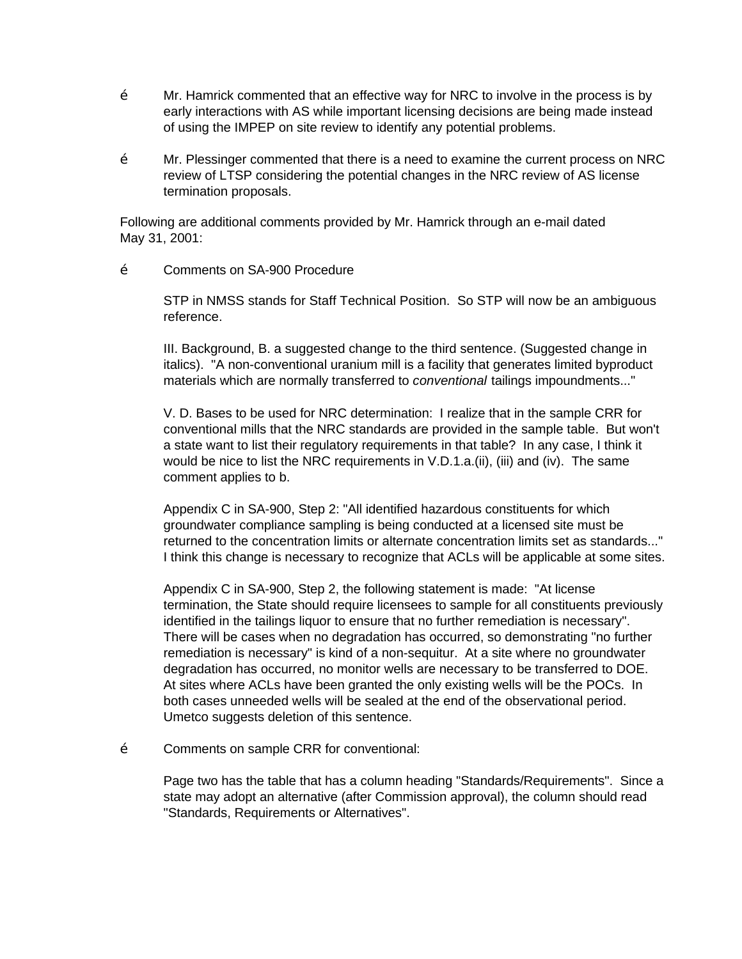- Ž Mr. Hamrick commented that an effective way for NRC to involve in the process is by early interactions with AS while important licensing decisions are being made instead of using the IMPEP on site review to identify any potential problems.
- $\check{Z}$  Mr. Plessinger commented that there is a need to examine the current process on NRC review of LTSP considering the potential changes in the NRC review of AS license termination proposals.

Following are additional comments provided by Mr. Hamrick through an e-mail dated May 31, 2001:

## Ž Comments on SA-900 Procedure

STP in NMSS stands for Staff Technical Position. So STP will now be an ambiguous reference.

III. Background, B. a suggested change to the third sentence. (Suggested change in italics). "A non-conventional uranium mill is a facility that generates limited byproduct materials which are normally transferred to *conventional* tailings impoundments..."

V. D. Bases to be used for NRC determination: I realize that in the sample CRR for conventional mills that the NRC standards are provided in the sample table. But won't a state want to list their regulatory requirements in that table? In any case, I think it would be nice to list the NRC requirements in V.D.1.a.(ii), (iii) and (iv). The same comment applies to b.

Appendix C in SA-900, Step 2: "All identified hazardous constituents for which groundwater compliance sampling is being conducted at a licensed site must be returned to the concentration limits or alternate concentration limits set as standards..." I think this change is necessary to recognize that ACLs will be applicable at some sites.

Appendix C in SA-900, Step 2, the following statement is made: "At license termination, the State should require licensees to sample for all constituents previously identified in the tailings liquor to ensure that no further remediation is necessary". There will be cases when no degradation has occurred, so demonstrating "no further remediation is necessary" is kind of a non-sequitur. At a site where no groundwater degradation has occurred, no monitor wells are necessary to be transferred to DOE. At sites where ACLs have been granted the only existing wells will be the POCs. In both cases unneeded wells will be sealed at the end of the observational period. Umetco suggests deletion of this sentence.

Ž Comments on sample CRR for conventional:

Page two has the table that has a column heading "Standards/Requirements". Since a state may adopt an alternative (after Commission approval), the column should read "Standards, Requirements or Alternatives".